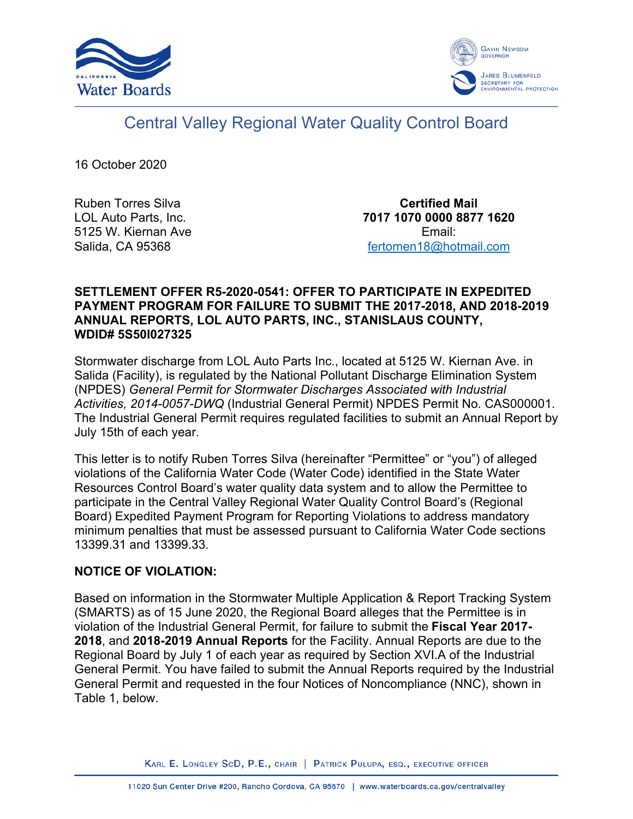



# Central Valley Regional Water Quality Control Board

16 October 2020

Ruben Torres Silva LOL Auto Parts, Inc. 5125 W. Kiernan Ave Salida, CA 95368

**Certified Mail 7017 1070 0000 8877 1620** Email: [fertomen18@hotmail.com](mailto:fertomen18@hotmail.com)

#### **SETTLEMENT OFFER R5-2020-0541: OFFER TO PARTICIPATE IN EXPEDITED PAYMENT PROGRAM FOR FAILURE TO SUBMIT THE 2017-2018, AND 2018-2019 ANNUAL REPORTS, LOL AUTO PARTS, INC., STANISLAUS COUNTY, WDID# 5S50I027325**

Stormwater discharge from LOL Auto Parts Inc., located at 5125 W. Kiernan Ave. in Salida (Facility), is regulated by the National Pollutant Discharge Elimination System (NPDES) *General Permit for Stormwater Discharges Associated with Industrial Activities, 2014-0057-DWQ* (Industrial General Permit) NPDES Permit No. CAS000001. The Industrial General Permit requires regulated facilities to submit an Annual Report by July 15th of each year.

This letter is to notify Ruben Torres Silva (hereinafter "Permittee" or "you") of alleged violations of the California Water Code (Water Code) identified in the State Water Resources Control Board's water quality data system and to allow the Permittee to participate in the Central Valley Regional Water Quality Control Board's (Regional Board) Expedited Payment Program for Reporting Violations to address mandatory minimum penalties that must be assessed pursuant to California Water Code sections 13399.31 and 13399.33.

#### **NOTICE OF VIOLATION:**

Based on information in the Stormwater Multiple Application & Report Tracking System (SMARTS) as of 15 June 2020, the Regional Board alleges that the Permittee is in violation of the Industrial General Permit, for failure to submit the **Fiscal Year 2017- 2018**, and **2018-2019 Annual Reports** for the Facility. Annual Reports are due to the Regional Board by July 1 of each year as required by Section XVI.A of the Industrial General Permit. You have failed to submit the Annual Reports required by the Industrial General Permit and requested in the four Notices of Noncompliance (NNC), shown in Table 1, below.

KARL E. LONGLEY SCD, P.E., CHAIR | PATRICK PULUPA, ESQ., EXECUTIVE OFFICER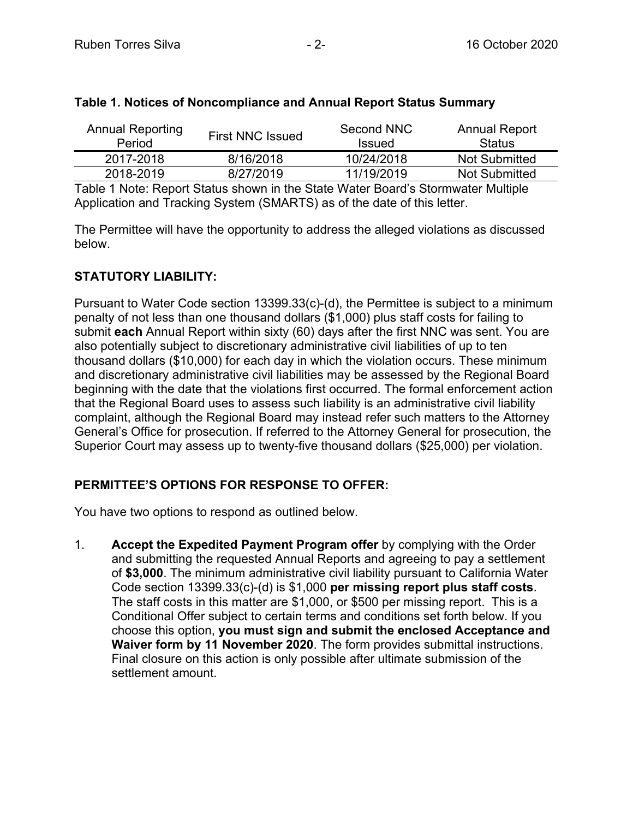| <b>Annual Reporting</b><br>Period | <b>First NNC Issued</b> | Second NNC<br><b>Issued</b> | <b>Annual Report</b><br><b>Status</b> |
|-----------------------------------|-------------------------|-----------------------------|---------------------------------------|
| 2017-2018                         | 8/16/2018               | 10/24/2018                  | <b>Not Submitted</b>                  |
| 2018-2019                         | 8/27/2019               | 11/19/2019                  | <b>Not Submitted</b>                  |
| _ _ _                             | .                       | .                           |                                       |

## **Table 1. Notices of Noncompliance and Annual Report Status Summary**

Table 1 Note: Report Status shown in the State Water Board's Stormwater Multiple Application and Tracking System (SMARTS) as of the date of this letter.

The Permittee will have the opportunity to address the alleged violations as discussed below.

# **STATUTORY LIABILITY:**

Pursuant to Water Code section 13399.33(c)-(d), the Permittee is subject to a minimum penalty of not less than one thousand dollars (\$1,000) plus staff costs for failing to submit **each** Annual Report within sixty (60) days after the first NNC was sent. You are also potentially subject to discretionary administrative civil liabilities of up to ten thousand dollars (\$10,000) for each day in which the violation occurs. These minimum and discretionary administrative civil liabilities may be assessed by the Regional Board beginning with the date that the violations first occurred. The formal enforcement action that the Regional Board uses to assess such liability is an administrative civil liability complaint, although the Regional Board may instead refer such matters to the Attorney General's Office for prosecution. If referred to the Attorney General for prosecution, the Superior Court may assess up to twenty-five thousand dollars (\$25,000) per violation.

# **PERMITTEE'S OPTIONS FOR RESPONSE TO OFFER:**

You have two options to respond as outlined below.

1. **Accept the Expedited Payment Program offer** by complying with the Order and submitting the requested Annual Reports and agreeing to pay a settlement of **\$3,000**. The minimum administrative civil liability pursuant to California Water Code section 13399.33(c)-(d) is \$1,000 **per missing report plus staff costs**. The staff costs in this matter are \$1,000, or \$500 per missing report. This is a Conditional Offer subject to certain terms and conditions set forth below. If you choose this option, **you must sign and submit the enclosed Acceptance and Waiver form by 11 November 2020**. The form provides submittal instructions. Final closure on this action is only possible after ultimate submission of the settlement amount.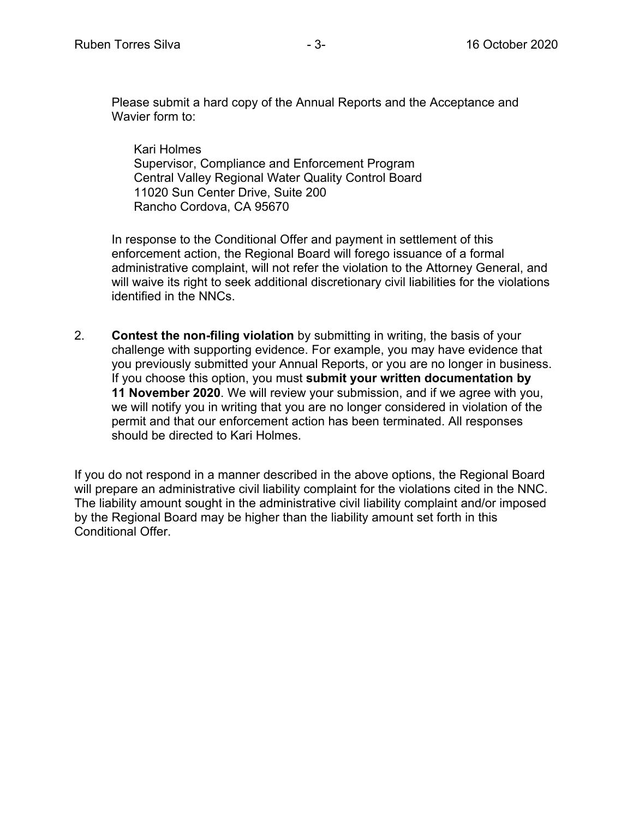Please submit a hard copy of the Annual Reports and the Acceptance and Wavier form to:

Kari Holmes Supervisor, Compliance and Enforcement Program Central Valley Regional Water Quality Control Board 11020 Sun Center Drive, Suite 200 Rancho Cordova, CA 95670

In response to the Conditional Offer and payment in settlement of this enforcement action, the Regional Board will forego issuance of a formal administrative complaint, will not refer the violation to the Attorney General, and will waive its right to seek additional discretionary civil liabilities for the violations identified in the NNCs.

2. **Contest the non-filing violation** by submitting in writing, the basis of your challenge with supporting evidence. For example, you may have evidence that you previously submitted your Annual Reports, or you are no longer in business. If you choose this option, you must **submit your written documentation by 11 November 2020**. We will review your submission, and if we agree with you, we will notify you in writing that you are no longer considered in violation of the permit and that our enforcement action has been terminated. All responses should be directed to Kari Holmes.

If you do not respond in a manner described in the above options, the Regional Board will prepare an administrative civil liability complaint for the violations cited in the NNC. The liability amount sought in the administrative civil liability complaint and/or imposed by the Regional Board may be higher than the liability amount set forth in this Conditional Offer.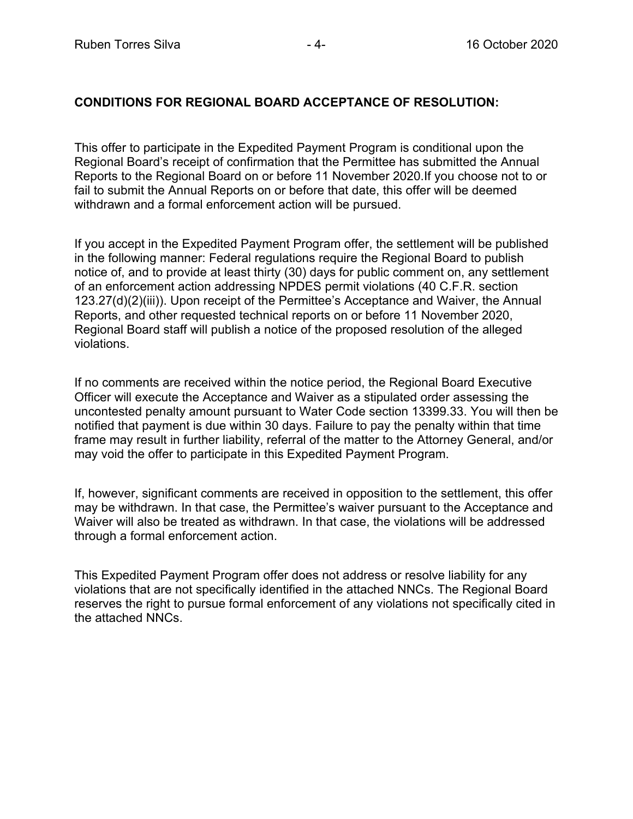## **CONDITIONS FOR REGIONAL BOARD ACCEPTANCE OF RESOLUTION:**

This offer to participate in the Expedited Payment Program is conditional upon the Regional Board's receipt of confirmation that the Permittee has submitted the Annual Reports to the Regional Board on or before 11 November 2020.If you choose not to or fail to submit the Annual Reports on or before that date, this offer will be deemed withdrawn and a formal enforcement action will be pursued.

If you accept in the Expedited Payment Program offer, the settlement will be published in the following manner: Federal regulations require the Regional Board to publish notice of, and to provide at least thirty (30) days for public comment on, any settlement of an enforcement action addressing NPDES permit violations (40 C.F.R. section 123.27(d)(2)(iii)). Upon receipt of the Permittee's Acceptance and Waiver, the Annual Reports, and other requested technical reports on or before 11 November 2020, Regional Board staff will publish a notice of the proposed resolution of the alleged violations.

If no comments are received within the notice period, the Regional Board Executive Officer will execute the Acceptance and Waiver as a stipulated order assessing the uncontested penalty amount pursuant to Water Code section 13399.33. You will then be notified that payment is due within 30 days. Failure to pay the penalty within that time frame may result in further liability, referral of the matter to the Attorney General, and/or may void the offer to participate in this Expedited Payment Program.

If, however, significant comments are received in opposition to the settlement, this offer may be withdrawn. In that case, the Permittee's waiver pursuant to the Acceptance and Waiver will also be treated as withdrawn. In that case, the violations will be addressed through a formal enforcement action.

This Expedited Payment Program offer does not address or resolve liability for any violations that are not specifically identified in the attached NNCs. The Regional Board reserves the right to pursue formal enforcement of any violations not specifically cited in the attached NNCs.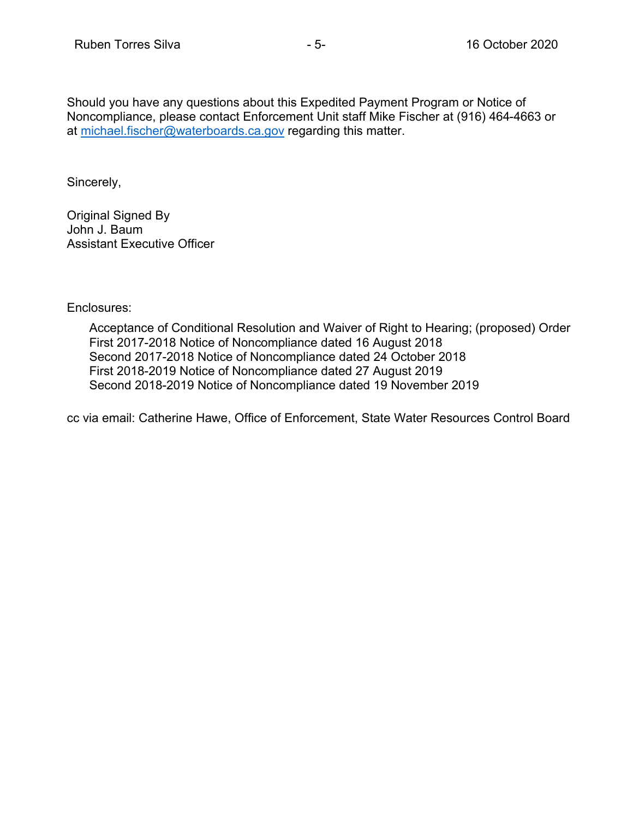Should you have any questions about this Expedited Payment Program or Notice of Noncompliance, please contact Enforcement Unit staff Mike Fischer at (916) 464-4663 or at [michael.fischer@waterboards.ca.gov](mailto:michael.fischer@waterboards.ca.gov) regarding this matter.

Sincerely,

Original Signed By John J. Baum Assistant Executive Officer

Enclosures:

Acceptance of Conditional Resolution and Waiver of Right to Hearing; (proposed) Order First 2017-2018 Notice of Noncompliance dated 16 August 2018 Second 2017-2018 Notice of Noncompliance dated 24 October 2018 First 2018-2019 Notice of Noncompliance dated 27 August 2019 Second 2018-2019 Notice of Noncompliance dated 19 November 2019

cc via email: Catherine Hawe, Office of Enforcement, State Water Resources Control Board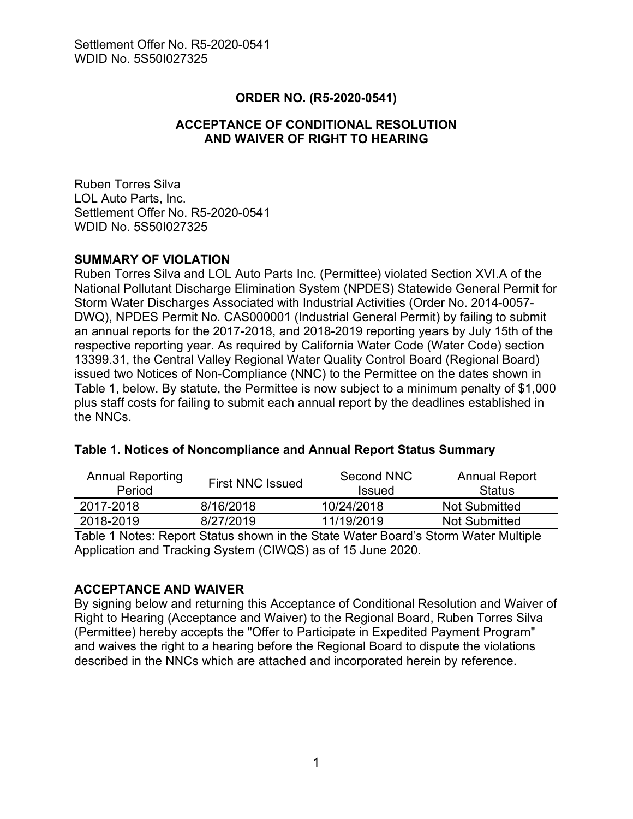## **ORDER NO. (R5-2020-0541)**

# **ACCEPTANCE OF CONDITIONAL RESOLUTION AND WAIVER OF RIGHT TO HEARING**

Ruben Torres Silva LOL Auto Parts, Inc. Settlement Offer No. R5-2020-0541 WDID No. 5S50I027325

#### **SUMMARY OF VIOLATION**

Ruben Torres Silva and LOL Auto Parts Inc. (Permittee) violated Section XVI.A of the National Pollutant Discharge Elimination System (NPDES) Statewide General Permit for Storm Water Discharges Associated with Industrial Activities (Order No. 2014-0057- DWQ), NPDES Permit No. CAS000001 (Industrial General Permit) by failing to submit an annual reports for the 2017-2018, and 2018-2019 reporting years by July 15th of the respective reporting year. As required by California Water Code (Water Code) section 13399.31, the Central Valley Regional Water Quality Control Board (Regional Board) issued two Notices of Non-Compliance (NNC) to the Permittee on the dates shown in Table 1, below. By statute, the Permittee is now subject to a minimum penalty of \$1,000 plus staff costs for failing to submit each annual report by the deadlines established in the NNCs.

| <b>Annual Reporting</b><br>Period | <b>First NNC Issued</b> | Second NNC<br><b>Issued</b> | <b>Annual Report</b><br><b>Status</b> |
|-----------------------------------|-------------------------|-----------------------------|---------------------------------------|
| 2017-2018                         | 8/16/2018               | 10/24/2018                  | Not Submitted                         |
| 2018-2019                         | 8/27/2019               | 11/19/2019                  | <b>Not Submitted</b>                  |

Table 1 Notes: Report Status shown in the State Water Board's Storm Water Multiple Application and Tracking System (CIWQS) as of 15 June 2020.

#### **ACCEPTANCE AND WAIVER**

By signing below and returning this Acceptance of Conditional Resolution and Waiver of Right to Hearing (Acceptance and Waiver) to the Regional Board, Ruben Torres Silva (Permittee) hereby accepts the "Offer to Participate in Expedited Payment Program" and waives the right to a hearing before the Regional Board to dispute the violations described in the NNCs which are attached and incorporated herein by reference.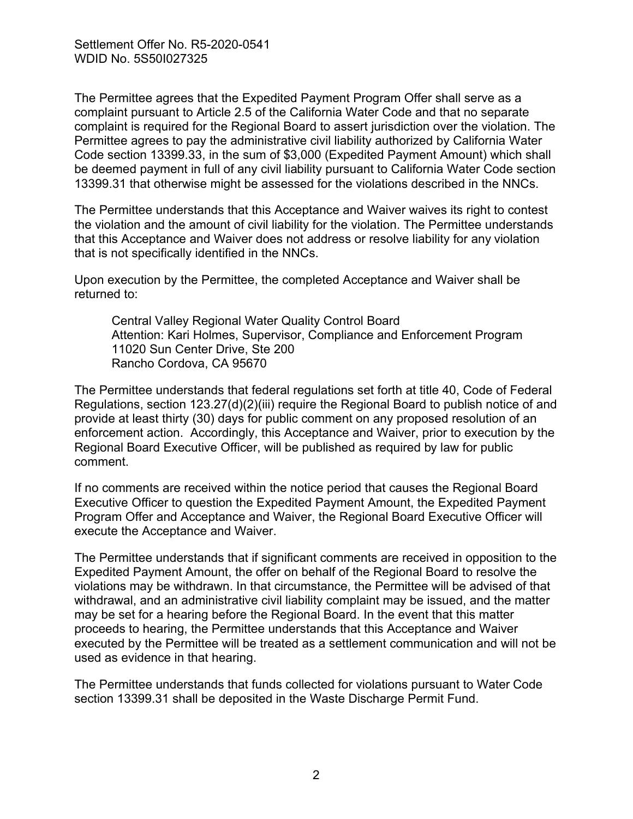The Permittee agrees that the Expedited Payment Program Offer shall serve as a complaint pursuant to Article 2.5 of the California Water Code and that no separate complaint is required for the Regional Board to assert jurisdiction over the violation. The Permittee agrees to pay the administrative civil liability authorized by California Water Code section 13399.33, in the sum of \$3,000 (Expedited Payment Amount) which shall be deemed payment in full of any civil liability pursuant to California Water Code section 13399.31 that otherwise might be assessed for the violations described in the NNCs.

The Permittee understands that this Acceptance and Waiver waives its right to contest the violation and the amount of civil liability for the violation. The Permittee understands that this Acceptance and Waiver does not address or resolve liability for any violation that is not specifically identified in the NNCs.

Upon execution by the Permittee, the completed Acceptance and Waiver shall be returned to:

Central Valley Regional Water Quality Control Board Attention: Kari Holmes, Supervisor, Compliance and Enforcement Program 11020 Sun Center Drive, Ste 200 Rancho Cordova, CA 95670

The Permittee understands that federal regulations set forth at title 40, Code of Federal Regulations, section 123.27(d)(2)(iii) require the Regional Board to publish notice of and provide at least thirty (30) days for public comment on any proposed resolution of an enforcement action. Accordingly, this Acceptance and Waiver, prior to execution by the Regional Board Executive Officer, will be published as required by law for public comment.

If no comments are received within the notice period that causes the Regional Board Executive Officer to question the Expedited Payment Amount, the Expedited Payment Program Offer and Acceptance and Waiver, the Regional Board Executive Officer will execute the Acceptance and Waiver.

The Permittee understands that if significant comments are received in opposition to the Expedited Payment Amount, the offer on behalf of the Regional Board to resolve the violations may be withdrawn. In that circumstance, the Permittee will be advised of that withdrawal, and an administrative civil liability complaint may be issued, and the matter may be set for a hearing before the Regional Board. In the event that this matter proceeds to hearing, the Permittee understands that this Acceptance and Waiver executed by the Permittee will be treated as a settlement communication and will not be used as evidence in that hearing.

The Permittee understands that funds collected for violations pursuant to Water Code section 13399.31 shall be deposited in the Waste Discharge Permit Fund.